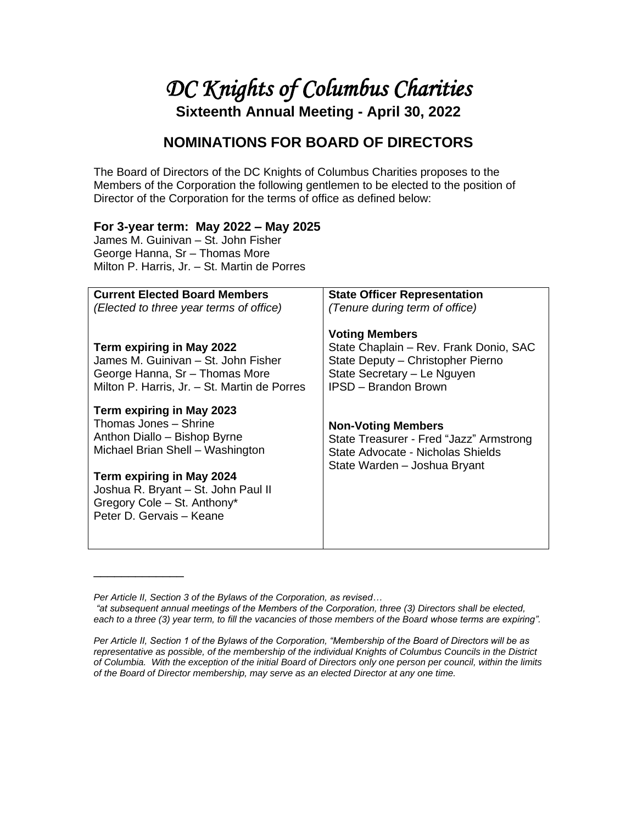# *DC Knights of Columbus Charities*  **Sixteenth Annual Meeting - April 30, 2022**

### **NOMINATIONS FOR BOARD OF DIRECTORS**

The Board of Directors of the DC Knights of Columbus Charities proposes to the Members of the Corporation the following gentlemen to be elected to the position of Director of the Corporation for the terms of office as defined below:

#### **For 3-year term: May 2022 – May 2025**

James M. Guinivan – St. John Fisher George Hanna, Sr – Thomas More Milton P. Harris, Jr. – St. Martin de Porres

| <b>Current Elected Board Members</b><br>(Elected to three year terms of office)                                                                                                                                                                       | <b>State Officer Representation</b><br>(Tenure during term of office)                                                                                              |
|-------------------------------------------------------------------------------------------------------------------------------------------------------------------------------------------------------------------------------------------------------|--------------------------------------------------------------------------------------------------------------------------------------------------------------------|
| Term expiring in May 2022<br>James M. Guinivan - St. John Fisher<br>George Hanna, Sr - Thomas More<br>Milton P. Harris, Jr. - St. Martin de Porres                                                                                                    | <b>Voting Members</b><br>State Chaplain - Rev. Frank Donio, SAC<br>State Deputy - Christopher Pierno<br>State Secretary - Le Nguyen<br><b>IPSD - Brandon Brown</b> |
| Term expiring in May 2023<br>Thomas Jones - Shrine<br>Anthon Diallo - Bishop Byrne<br>Michael Brian Shell - Washington<br>Term expiring in May 2024<br>Joshua R. Bryant - St. John Paul II<br>Gregory Cole - St. Anthony*<br>Peter D. Gervais - Keane | <b>Non-Voting Members</b><br>State Treasurer - Fred "Jazz" Armstrong<br>State Advocate - Nicholas Shields<br>State Warden - Joshua Bryant                          |

*Per Article II, Section 3 of the Bylaws of the Corporation, as revised…*

\_\_\_\_\_\_\_\_\_\_\_\_\_

*<sup>&</sup>quot;at subsequent annual meetings of the Members of the Corporation, three (3) Directors shall be elected, each to a three (3) year term, to fill the vacancies of those members of the Board whose terms are expiring".*

*Per Article II, Section 1 of the Bylaws of the Corporation, "Membership of the Board of Directors will be as representative as possible, of the membership of the individual Knights of Columbus Councils in the District of Columbia. With the exception of the initial Board of Directors only one person per council, within the limits of the Board of Director membership, may serve as an elected Director at any one time.*